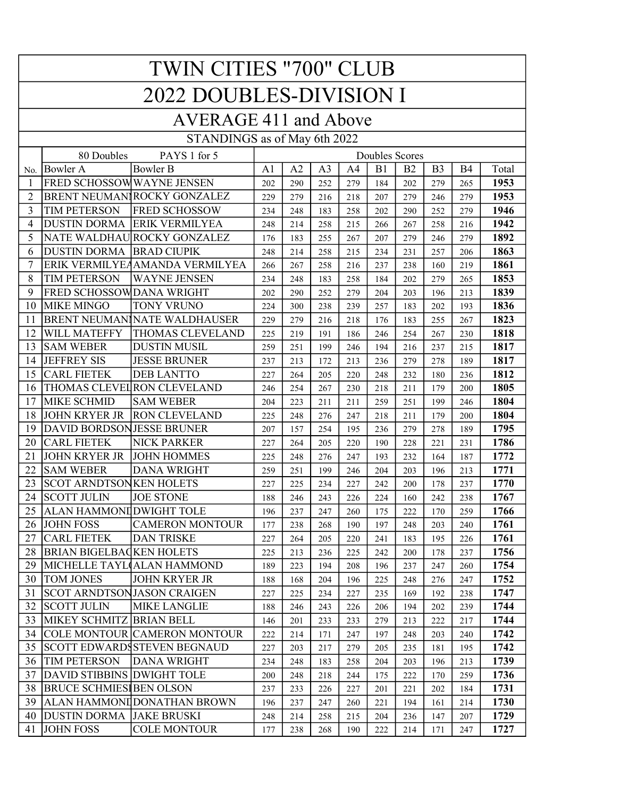| <b>TWIN CITIES "700" CLUB</b> |                                                     |                                     |                |     |                |     |     |           |                |                |       |
|-------------------------------|-----------------------------------------------------|-------------------------------------|----------------|-----|----------------|-----|-----|-----------|----------------|----------------|-------|
| 2022 DOUBLES-DIVISION I       |                                                     |                                     |                |     |                |     |     |           |                |                |       |
| <b>AVERAGE 411 and Above</b>  |                                                     |                                     |                |     |                |     |     |           |                |                |       |
| STANDINGS as of May 6th 2022  |                                                     |                                     |                |     |                |     |     |           |                |                |       |
|                               | 80 Doubles<br>PAYS 1 for 5<br><b>Doubles Scores</b> |                                     |                |     |                |     |     |           |                |                |       |
| No.                           | <b>Bowler A</b>                                     | <b>Bowler B</b>                     | A <sub>1</sub> | A2  | A <sub>3</sub> | A4  | B1  | <b>B2</b> | B <sub>3</sub> | B <sub>4</sub> | Total |
| 1                             | FRED SCHOSSOWWAYNE JENSEN                           |                                     | 202            | 290 | 252            | 279 | 184 | 202       | 279            | 265            | 1953  |
| $\overline{2}$                |                                                     | <b>BRENT NEUMAN ROCKY GONZALEZ</b>  | 229            | 279 | 216            | 218 | 207 | 279       | 246            | 279            | 1953  |
| 3                             | <b>TIM PETERSON</b>                                 | <b>FRED SCHOSSOW</b>                | 234            | 248 | 183            | 258 | 202 | 290       | 252            | 279            | 1946  |
| 4                             | <b>DUSTIN DORMA</b>                                 | <b>ERIK VERMILYEA</b>               | 248            | 214 | 258            | 215 | 266 | 267       | 258            | 216            | 1942  |
| 5                             |                                                     | NATE WALDHAU ROCKY GONZALEZ         | 176            | 183 | 255            | 267 | 207 | 279       | 246            | 279            | 1892  |
| 6                             | <b>DUSTIN DORMA</b>                                 | <b>BRAD CIUPIK</b>                  | 248            | 214 | 258            | 215 | 234 | 231       | 257            | 206            | 1863  |
| 7                             |                                                     | ERIK VERMILYEAAMANDA VERMILYEA      | 266            | 267 | 258            | 216 | 237 | 238       | 160            | 219            | 1861  |
| 8                             | <b>TIM PETERSON</b>                                 | <b>WAYNE JENSEN</b>                 | 234            | 248 | 183            | 258 | 184 | 202       | 279            | 265            | 1853  |
| 9                             | FRED SCHOSSOWDANA WRIGHT                            |                                     | 202            | 290 | 252            | 279 | 204 | 203       | 196            | 213            | 1839  |
| 10                            | <b>MIKE MINGO</b>                                   | TONY VRUNO                          | 224            | 300 | 238            | 239 | 257 | 183       | 202            | 193            | 1836  |
| 11                            |                                                     | <b>BRENT NEUMAN NATE WALDHAUSER</b> | 229            | 279 | 216            | 218 | 176 | 183       | 255            | 267            | 1823  |
| 12                            | <b>WILL MATEFFY</b>                                 | THOMAS CLEVELAND                    | 225            | 219 | 191            | 186 | 246 | 254       | 267            | 230            | 1818  |
| 13                            | <b>SAM WEBER</b>                                    | <b>DUSTIN MUSIL</b>                 | 259            | 251 | 199            | 246 | 194 | 216       | 237            | 215            | 1817  |
| 14                            | <b>JEFFREY SIS</b>                                  | <b>JESSE BRUNER</b>                 | 237            | 213 | 172            | 213 | 236 | 279       | 278            | 189            | 1817  |
| 15                            | <b>CARL FIETEK</b>                                  | <b>DEB LANTTO</b>                   | 227            | 264 | 205            | 220 | 248 | 232       | 180            | 236            | 1812  |
| 16                            |                                                     | THOMAS CLEVEL RON CLEVELAND         | 246            | 254 | 267            | 230 | 218 | 211       | 179            | 200            | 1805  |
| 17                            | MIKE SCHMID                                         | <b>SAM WEBER</b>                    | 204            | 223 | 211            | 211 | 259 | 251       | 199            | 246            | 1804  |
| 18                            | <b>JOHN KRYER JR</b>                                | <b>RON CLEVELAND</b>                | 225            | 248 | 276            | 247 | 218 | 211       | 179            | 200            | 1804  |
| 19                            | DAVID BORDSONJESSE BRUNER                           |                                     | 207            | 157 | 254            | 195 | 236 | 279       | 278            | 189            | 1795  |
| 20                            | <b>CARL FIETEK</b>                                  | <b>NICK PARKER</b>                  | 227            | 264 | 205            | 220 | 190 | 228       | 221            | 231            | 1786  |
| 21                            | <b>JOHN KRYER JR</b>                                | <b>JOHN HOMMES</b>                  | 225            | 248 | 276            | 247 | 193 | 232       | 164            | 187            | 1772  |
| 22                            | <b>SAM WEBER</b>                                    | <b>DANA WRIGHT</b>                  | 259            | 251 | 199            | 246 | 204 | 203       | 196            | 213            | 1771  |
| 23                            | <b>SCOT ARNDTSONKEN HOLETS</b>                      |                                     | 227            | 225 | 234            | 227 | 242 | 200       | 178            | 237            | 1770  |
| 24                            | <b>SCOTT JULIN</b>                                  | <b>JOE STONE</b>                    | 188            | 246 | 243            | 226 | 224 | 160       | 242            | 238            | 1767  |
| 25                            | ALAN HAMMONI]DWIGHT TOLE                            |                                     | 196            | 237 | 247            | 260 | 175 | 222       | 170            | 259            | 1766  |
| 26                            | <b>JOHN FOSS</b>                                    | <b>CAMERON MONTOUR</b>              | 177            | 238 | 268            | 190 | 197 | 248       | 203            | 240            | 1761  |
| 27                            | <b>CARL FIETEK</b>                                  | <b>DAN TRISKE</b>                   | 227            | 264 | 205            | 220 | 241 | 183       | 195            | 226            | 1761  |
| 28                            | <b>BRIAN BIGELBACKEN HOLETS</b>                     |                                     | 225            | 213 | 236            | 225 | 242 | 200       | 178            | 237            | 1756  |
| 29                            |                                                     | MICHELLE TAYL(ALAN HAMMOND          | 189            | 223 | 194            | 208 | 196 | 237       | 247            | 260            | 1754  |
| 30                            | <b>TOM JONES</b>                                    | <b>JOHN KRYER JR</b>                | 188            | 168 | 204            | 196 | 225 | 248       | 276            | 247            | 1752  |
| 31                            | <b>SCOT ARNDTSONJASON CRAIGEN</b>                   |                                     | 227            | 225 | 234            | 227 | 235 | 169       | 192            | 238            | 1747  |
| 32                            | <b>SCOTT JULIN</b>                                  | <b>MIKE LANGLIE</b>                 | 188            | 246 | 243            | 226 | 206 | 194       | 202            | 239            | 1744  |
| 33                            | MIKEY SCHMITZ BRIAN BELL                            |                                     | 146            | 201 | 233            | 233 | 279 | 213       | 222            | 217            | 1744  |
| 34                            |                                                     | COLE MONTOUR CAMERON MONTOUR        | 222            | 214 | 171            | 247 | 197 | 248       | 203            | 240            | 1742  |
| 35                            |                                                     | <b>SCOTT EDWARDSSTEVEN BEGNAUD</b>  | 227            | 203 | 217            | 279 | 205 | 235       | 181            | 195            | 1742  |
| 36                            | <b>TIM PETERSON</b>                                 | <b>DANA WRIGHT</b>                  | 234            | 248 | 183            | 258 | 204 | 203       | 196            | 213            | 1739  |
| 37                            | DAVID STIBBINS DWIGHT TOLE                          |                                     | 200            | 248 | 218            | 244 | 175 | 222       | 170            | 259            | 1736  |
| 38                            | <b>BRUCE SCHMIESIBEN OLSON</b>                      |                                     | 237            | 233 | 226            | 227 | 201 | 221       | 202            | 184            | 1731  |
| 39                            |                                                     | ALAN HAMMONI DONATHAN BROWN         | 196            | 237 | 247            | 260 | 221 | 194       | 161            | 214            | 1730  |
| 40                            | <b>DUSTIN DORMA</b>                                 | <b>JAKE BRUSKI</b>                  | 248            | 214 | 258            | 215 | 204 | 236       | 147            | 207            | 1729  |
| 41                            | <b>JOHN FOSS</b>                                    | <b>COLE MONTOUR</b>                 | 177            | 238 | 268            | 190 | 222 | 214       | 171            | 247            | 1727  |